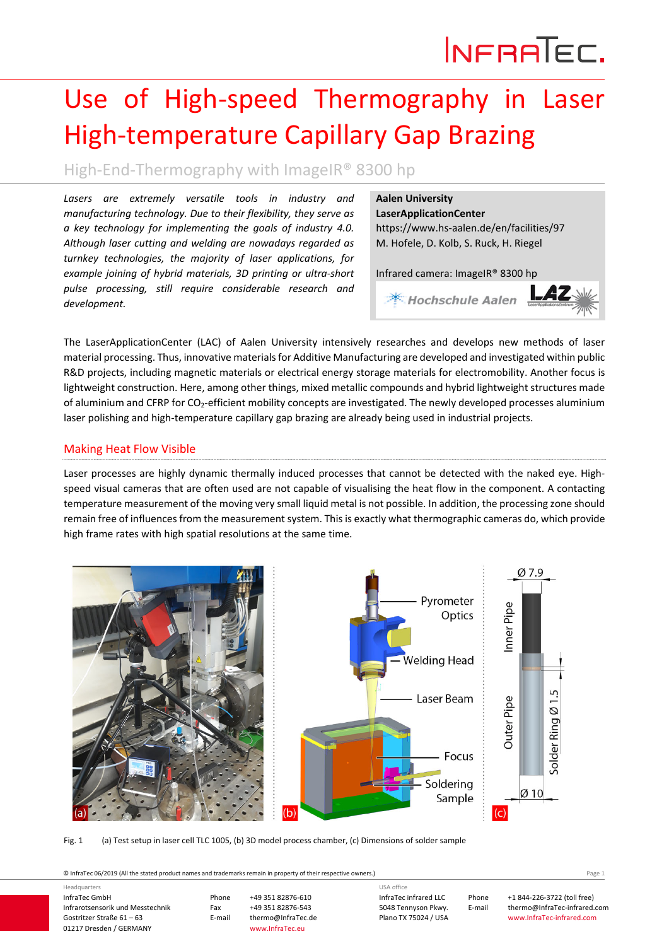# INFRATEC.

## Use of High‐speed Thermography in Laser High‐temperature Capillary Gap Brazing

### High‐End‐Thermography with ImageIR® 8300 hp

*Lasers are extremely versatile tools in industry and manufacturing technology. Due to their flexibility, they serve as a key technology for implementing the goals of industry 4.0. Although laser cutting and welding are nowadays regarded as turnkey technologies, the majority of laser applications, for example joining of hybrid materials, 3D printing or ultra‐short pulse processing, still require considerable research and development.*

#### **Aalen University**

**LaserApplicationCenter** https://www.hs‐aalen.de/en/facilities/97 M. Hofele, D. Kolb, S. Ruck, H. Riegel

Infrared camera: ImageIR® 8300 hp



The LaserApplicationCenter (LAC) of Aalen University intensively researches and develops new methods of laser material processing. Thus, innovative materialsfor Additive Manufacturing are developed and investigated within public R&D projects, including magnetic materials or electrical energy storage materials for electromobility. Another focus is lightweight construction. Here, among other things, mixed metallic compounds and hybrid lightweight structures made of aluminium and CFRP for CO2‐efficient mobility concepts are investigated. The newly developed processes aluminium laser polishing and high-temperature capillary gap brazing are already being used in industrial projects.

#### Making Heat Flow Visible

Laser processes are highly dynamic thermally induced processes that cannot be detected with the naked eye. Highspeed visual cameras that are often used are not capable of visualising the heat flow in the component. A contacting temperature measurement of the moving very small liquid metal is not possible. In addition, the processing zone should remain free of influences from the measurement system. This is exactly what thermographic cameras do, which provide high frame rates with high spatial resolutions at the same time.



Fig. 1 (a) Test setup in laser cell TLC 1005, (b) 3D model process chamber, (c) Dimensions of solder sample

© InfraTec 06/2019 (All the stated product names and trademarks remain in property of their respective owners.) Page **1**

InfraTec GmbH Infrarotsensorik und Messtechnik Gostritzer Straße 61 – 63 01217 Dresden / GERMANY Phone +49 351 82876‐610 Fax +49 351 82876-543<br>E-mail thermo@InfraTec.c thermo@InfraTec.de www.InfraTec.eu Headquarters InfraTec infrared LLC 5048 Tennyson Pkwy. Plano TX 75024 / USA USA office

Phone +1 844‐226‐3722 (toll free) E-mail thermo@InfraTec-infrared.com www.InfraTec‐infrared.com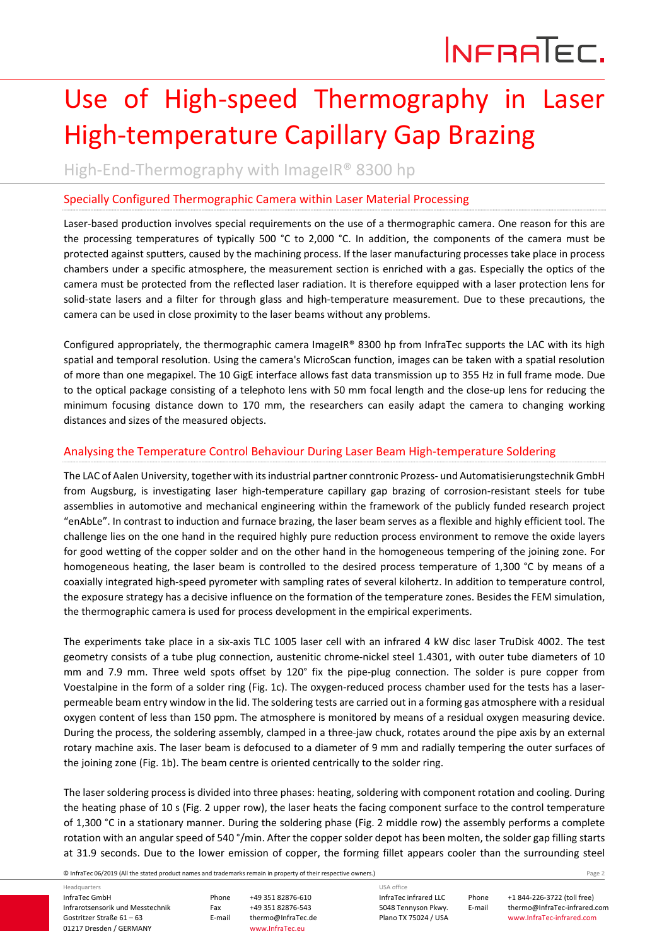### Use of High‐speed Thermography in Laser High‐temperature Capillary Gap Brazing

High‐End‐Thermography with ImageIR® 8300 hp

#### Specially Configured Thermographic Camera within Laser Material Processing

Laser-based production involves special requirements on the use of a thermographic camera. One reason for this are the processing temperatures of typically 500 °C to 2,000 °C. In addition, the components of the camera must be protected against sputters, caused by the machining process. If the laser manufacturing processes take place in process chambers under a specific atmosphere, the measurement section is enriched with a gas. Especially the optics of the camera must be protected from the reflected laser radiation. It is therefore equipped with a laser protection lens for solid-state lasers and a filter for through glass and high-temperature measurement. Due to these precautions, the camera can be used in close proximity to the laser beams without any problems.

Configured appropriately, the thermographic camera ImageIR® 8300 hp from InfraTec supports the LAC with its high spatial and temporal resolution. Using the camera's MicroScan function, images can be taken with a spatial resolution of more than one megapixel. The 10 GigE interface allows fast data transmission up to 355 Hz in full frame mode. Due to the optical package consisting of a telephoto lens with 50 mm focal length and the close-up lens for reducing the minimum focusing distance down to 170 mm, the researchers can easily adapt the camera to changing working distances and sizes of the measured objects.

#### Analysing the Temperature Control Behaviour During Laser Beam High‐temperature Soldering

The LAC of Aalen University, together with its industrial partner conntronic Prozess- und Automatisierungstechnik GmbH from Augsburg, is investigating laser high-temperature capillary gap brazing of corrosion-resistant steels for tube assemblies in automotive and mechanical engineering within the framework of the publicly funded research project "enAbLe". In contrast to induction and furnace brazing, the laser beam serves as a flexible and highly efficient tool. The challenge lies on the one hand in the required highly pure reduction process environment to remove the oxide layers for good wetting of the copper solder and on the other hand in the homogeneous tempering of the joining zone. For homogeneous heating, the laser beam is controlled to the desired process temperature of 1,300 °C by means of a coaxially integrated high‐speed pyrometer with sampling rates of several kilohertz. In addition to temperature control, the exposure strategy has a decisive influence on the formation of the temperature zones. Besides the FEM simulation, the thermographic camera is used for process development in the empirical experiments.

The experiments take place in a six-axis TLC 1005 laser cell with an infrared 4 kW disc laser TruDisk 4002. The test geometry consists of a tube plug connection, austenitic chrome‐nickel steel 1.4301, with outer tube diameters of 10 mm and 7.9 mm. Three weld spots offset by 120° fix the pipe-plug connection. The solder is pure copper from Voestalpine in the form of a solder ring (Fig. 1c). The oxygen-reduced process chamber used for the tests has a laserpermeable beam entry window in the lid. The soldering tests are carried out in a forming gas atmosphere with a residual oxygen content of less than 150 ppm. The atmosphere is monitored by means of a residual oxygen measuring device. During the process, the soldering assembly, clamped in a three-jaw chuck, rotates around the pipe axis by an external rotary machine axis. The laser beam is defocused to a diameter of 9 mm and radially tempering the outer surfaces of the joining zone (Fig. 1b). The beam centre is oriented centrically to the solder ring.

The laser soldering processis divided into three phases: heating, soldering with component rotation and cooling. During the heating phase of 10 s (Fig. 2 upper row), the laser heats the facing component surface to the control temperature of 1,300 °C in a stationary manner. During the soldering phase (Fig. 2 middle row) the assembly performs a complete rotation with an angular speed of 540 °/min. After the copper solder depot has been molten, the solder gap filling starts at 31.9 seconds. Due to the lower emission of copper, the forming fillet appears cooler than the surrounding steel

© InfraTec 06/2019 (All the stated product names and trademarks remain in property of their respective owners.) Page **2**

InfraTec GmbH Infrarotsensorik und Messtechnik Gostritzer Straße 61 – 63 01217 Dresden / GERMANY Headquarters

Phone +49 351 82876‐610 Fax +49 351 82876-543<br>E-mail thermo@InfraTec.c thermo@InfraTec.de www.InfraTec.eu

InfraTec infrared LLC 5048 Tennyson Pkwy. Plano TX 75024 / USA

USA office

Phone +1 844‐226‐3722 (toll free) E-mail thermo@InfraTec-infrared.com www.InfraTec‐infrared.com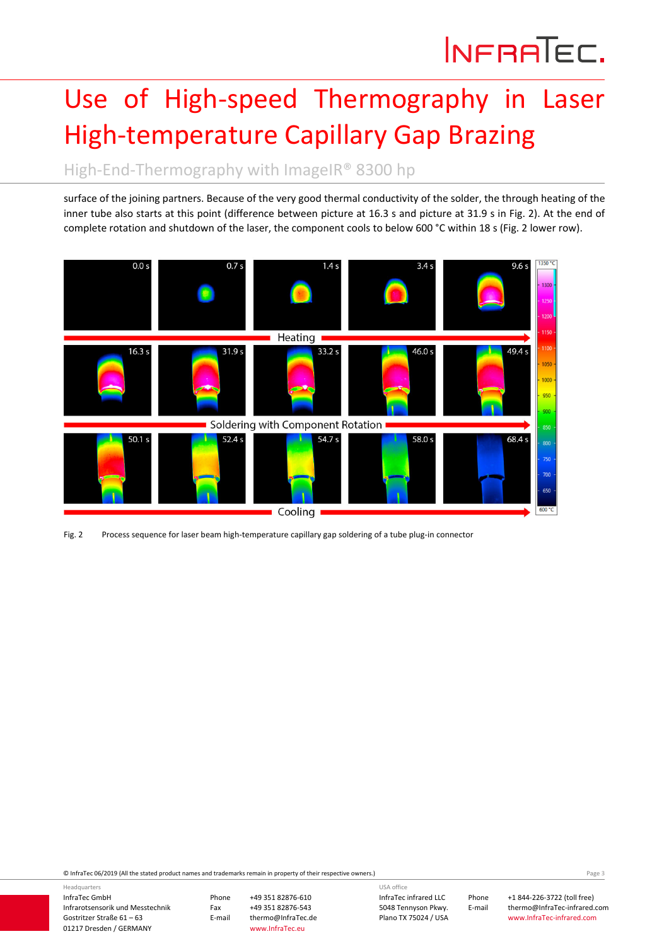### Use of High‐speed Thermography in Laser High‐temperature Capillary Gap Brazing

High-End-Thermography with ImageIR® 8300 hp

surface of the joining partners. Because of the very good thermal conductivity of the solder, the through heating of the inner tube also starts at this point (difference between picture at 16.3 s and picture at 31.9 s in Fig. 2). At the end of complete rotation and shutdown of the laser, the component cools to below 600 °C within 18 s (Fig. 2 lower row).



Fig. 2 Process sequence for laser beam high-temperature capillary gap soldering of a tube plug-in connector

© InfraTec 06/2019 (All the stated product names and trademarks remain in property of their respective owners.) Page **3**

InfraTec GmbH Infrarotsensorik und Messtechnik Gostritzer Straße 61 – 63 01217 Dresden / GERMANY

Headquarters

Phone +49 351 82876‐610 Fax +49 351 82876-543<br>E-mail thermo@InfraTec.d thermo@InfraTec.de www.InfraTec.eu

InfraTec infrared LLC 5048 Tennyson Pkwy. USA office

Plano TX 75024 / USA

Phone +1 844‐226‐3722 (toll free) E‐mail thermo@InfraTec‐infrared.com www.InfraTec‐infrared.com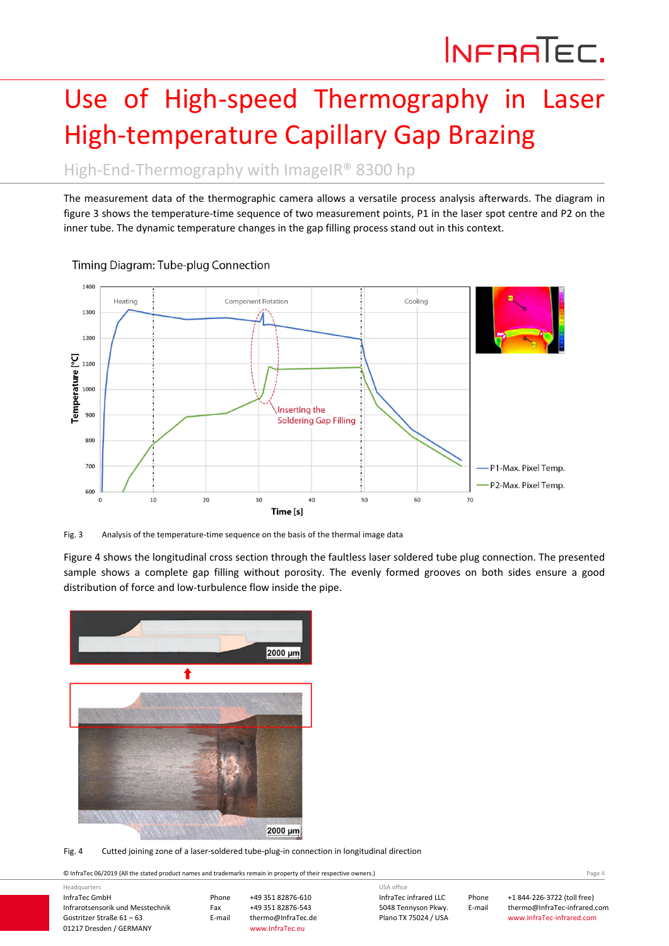## Use of High‐speed Thermography in Laser High‐temperature Capillary Gap Brazing

High-End-Thermography with ImageIR® 8300 hp

The measurement data of the thermographic camera allows a versatile process analysis afterwards. The diagram in figure 3 shows the temperature-time sequence of two measurement points, P1 in the laser spot centre and P2 on the inner tube. The dynamic temperature changes in the gap filling process stand out in this context.



Timing Diagram: Tube-plug Connection

Fig. 3 Analysis of the temperature-time sequence on the basis of the thermal image data

Figure 4 shows the longitudinal cross section through the faultless laser soldered tube plug connection. The presented sample shows a complete gap filling without porosity. The evenly formed grooves on both sides ensure a good distribution of force and low-turbulence flow inside the pipe.



Fig. 4 Cutted joining zone of a laser-soldered tube-plug-in connection in longitudinal direction

© InfraTec 06/2019 (All the stated product names and trademarks remain in property of their respective owners.) Page **4**

| Headquarters                     |        |                    | USA office            |        |                              |  |
|----------------------------------|--------|--------------------|-----------------------|--------|------------------------------|--|
| InfraTec GmbH                    | Phone  | +49 351 82876-610  | InfraTec infrared LLC | Phone  | +1 844-226-3722 (toll free)  |  |
| Infrarotsensorik und Messtechnik | Fax    | +49 351 82876-543  | 5048 Tennyson Pkwy.   | E-mail | thermo@InfraTec-infrared.com |  |
| Gostritzer Straße 61 – 63        | E-mail | thermo@InfraTec.de | Plano TX 75024 / USA  |        | www.InfraTec-infrared.com    |  |
| 01217 Dresden / GERMANY          |        | www.InfraTec.eu    |                       |        |                              |  |